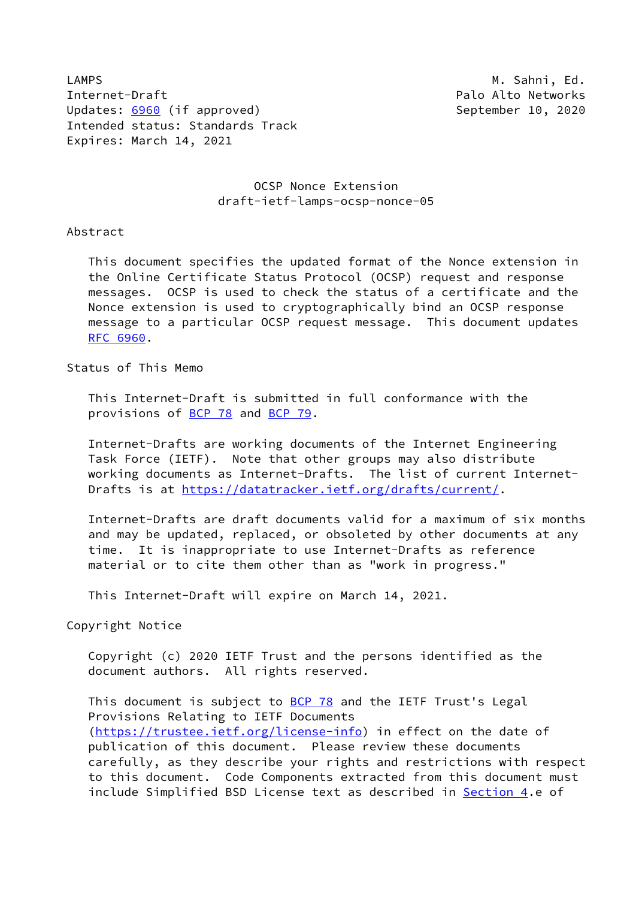LAMPS **M. Sahni, Ed.** And The Manual Control of the Manual Control of Manual Control of Manual Control of Manual Control of Manual Control of Manual Control of Manual Control of Manual Control of Manual Control of Manual C Internet-Draft **Palo Alto Networks** Palo Alto Networks Updates: [6960](https://datatracker.ietf.org/doc/pdf/rfc6960) (if approved) and the september 10, 2020 Intended status: Standards Track Expires: March 14, 2021

## OCSP Nonce Extension draft-ietf-lamps-ocsp-nonce-05

Abstract

 This document specifies the updated format of the Nonce extension in the Online Certificate Status Protocol (OCSP) request and response messages. OCSP is used to check the status of a certificate and the Nonce extension is used to cryptographically bind an OCSP response message to a particular OCSP request message. This document updates [RFC 6960](https://datatracker.ietf.org/doc/pdf/rfc6960).

Status of This Memo

 This Internet-Draft is submitted in full conformance with the provisions of [BCP 78](https://datatracker.ietf.org/doc/pdf/bcp78) and [BCP 79](https://datatracker.ietf.org/doc/pdf/bcp79).

 Internet-Drafts are working documents of the Internet Engineering Task Force (IETF). Note that other groups may also distribute working documents as Internet-Drafts. The list of current Internet- Drafts is at<https://datatracker.ietf.org/drafts/current/>.

 Internet-Drafts are draft documents valid for a maximum of six months and may be updated, replaced, or obsoleted by other documents at any time. It is inappropriate to use Internet-Drafts as reference material or to cite them other than as "work in progress."

This Internet-Draft will expire on March 14, 2021.

Copyright Notice

 Copyright (c) 2020 IETF Trust and the persons identified as the document authors. All rights reserved.

This document is subject to **[BCP 78](https://datatracker.ietf.org/doc/pdf/bcp78)** and the IETF Trust's Legal Provisions Relating to IETF Documents [\(https://trustee.ietf.org/license-info](https://trustee.ietf.org/license-info)) in effect on the date of publication of this document. Please review these documents carefully, as they describe your rights and restrictions with respect to this document. Code Components extracted from this document must include Simplified BSD License text as described in [Section 4.](#page-3-0)e of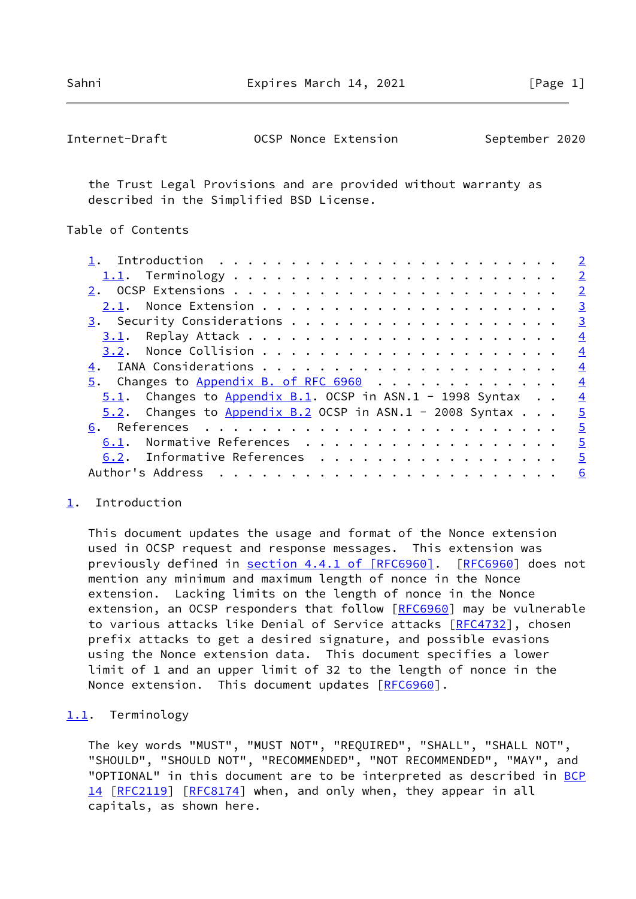Sahni Expires March 14, 2021 [Page 1]

<span id="page-1-1"></span>

| Internet-Draft | OCSP Nonce Extension | September 2020 |
|----------------|----------------------|----------------|
|----------------|----------------------|----------------|

 the Trust Legal Provisions and are provided without warranty as described in the Simplified BSD License.

Table of Contents

|                                                              | $\overline{2}$ |
|--------------------------------------------------------------|----------------|
|                                                              | $\overline{2}$ |
|                                                              | $\overline{2}$ |
|                                                              | $\overline{3}$ |
|                                                              | $\overline{3}$ |
|                                                              | $\overline{4}$ |
|                                                              | $\overline{4}$ |
|                                                              | $\overline{4}$ |
| $5.$ Changes to Appendix B. of RFC 6960                      | $\overline{4}$ |
| $5.1$ . Changes to Appendix B.1. OCSP in ASN.1 - 1998 Syntax | $\overline{4}$ |
| $5.2$ . Changes to Appendix B.2 OCSP in ASN.1 - 2008 Syntax  | $\overline{5}$ |
|                                                              | $\overline{5}$ |
| 6.1. Normative References                                    | $\overline{5}$ |
| 6.2. Informative References                                  | $\overline{5}$ |
|                                                              | <u>6</u>       |
|                                                              |                |

## <span id="page-1-0"></span>[1](#page-1-0). Introduction

 This document updates the usage and format of the Nonce extension used in OCSP request and response messages. This extension was previously defined in section [4.4.1 of \[RFC6960\].](https://datatracker.ietf.org/doc/pdf/rfc6960#section-4.4.1) [[RFC6960\]](https://datatracker.ietf.org/doc/pdf/rfc6960) does not mention any minimum and maximum length of nonce in the Nonce extension. Lacking limits on the length of nonce in the Nonce extension, an OCSP responders that follow [[RFC6960](https://datatracker.ietf.org/doc/pdf/rfc6960)] may be vulnerable to various attacks like Denial of Service attacks [[RFC4732](https://datatracker.ietf.org/doc/pdf/rfc4732)], chosen prefix attacks to get a desired signature, and possible evasions using the Nonce extension data. This document specifies a lower limit of 1 and an upper limit of 32 to the length of nonce in the Nonce extension. This document updates [\[RFC6960](https://datatracker.ietf.org/doc/pdf/rfc6960)].

#### <span id="page-1-2"></span>[1.1](#page-1-2). Terminology

 The key words "MUST", "MUST NOT", "REQUIRED", "SHALL", "SHALL NOT", "SHOULD", "SHOULD NOT", "RECOMMENDED", "NOT RECOMMENDED", "MAY", and "OPTIONAL" in this document are to be interpreted as described in [BCP](https://datatracker.ietf.org/doc/pdf/bcp14) [14](https://datatracker.ietf.org/doc/pdf/bcp14) [[RFC2119\]](https://datatracker.ietf.org/doc/pdf/rfc2119) [\[RFC8174](https://datatracker.ietf.org/doc/pdf/rfc8174)] when, and only when, they appear in all capitals, as shown here.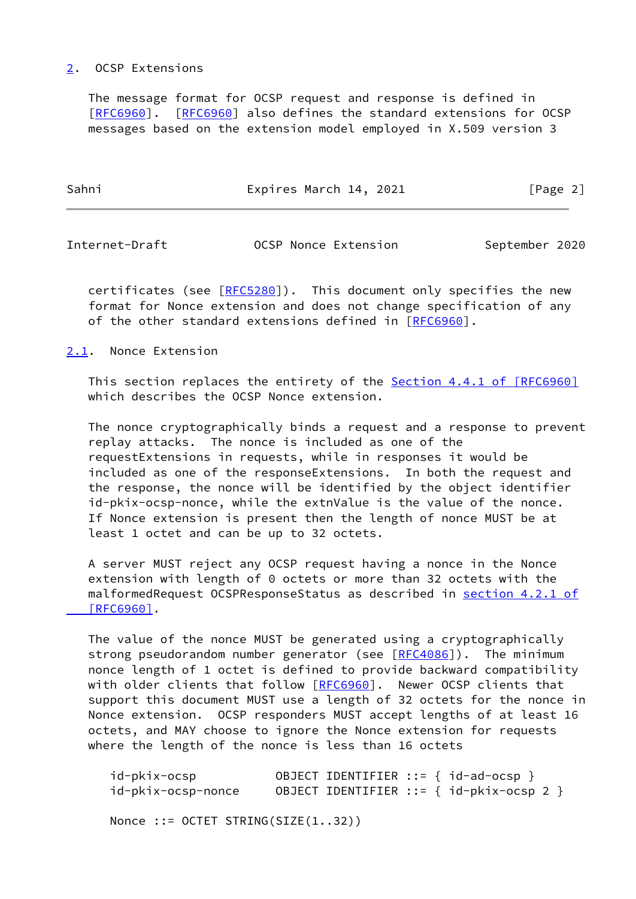### <span id="page-2-0"></span>[2](#page-2-0). OCSP Extensions

 The message format for OCSP request and response is defined in [\[RFC6960](https://datatracker.ietf.org/doc/pdf/rfc6960)]. [\[RFC6960](https://datatracker.ietf.org/doc/pdf/rfc6960)] also defines the standard extensions for OCSP messages based on the extension model employed in X.509 version 3

| Expires March 14, 2021<br>[Page 2] |
|------------------------------------|
|                                    |

<span id="page-2-2"></span>Internet-Draft OCSP Nonce Extension September 2020

certificates (see [[RFC5280](https://datatracker.ietf.org/doc/pdf/rfc5280)]). This document only specifies the new format for Nonce extension and does not change specification of any of the other standard extensions defined in [\[RFC6960](https://datatracker.ietf.org/doc/pdf/rfc6960)].

### <span id="page-2-1"></span>[2.1](#page-2-1). Nonce Extension

This section replaces the entirety of the Section [4.4.1 of \[RFC6960\]](https://datatracker.ietf.org/doc/pdf/rfc6960#section-4.4.1) which describes the OCSP Nonce extension.

 The nonce cryptographically binds a request and a response to prevent replay attacks. The nonce is included as one of the requestExtensions in requests, while in responses it would be included as one of the responseExtensions. In both the request and the response, the nonce will be identified by the object identifier id-pkix-ocsp-nonce, while the extnValue is the value of the nonce. If Nonce extension is present then the length of nonce MUST be at least 1 octet and can be up to 32 octets.

 A server MUST reject any OCSP request having a nonce in the Nonce extension with length of 0 octets or more than 32 octets with the malformedRequest OCSPResponseStatus as described in section [4.2.1 of](https://datatracker.ietf.org/doc/pdf/rfc6960#section-4.2.1)  [\[RFC6960\]](https://datatracker.ietf.org/doc/pdf/rfc6960#section-4.2.1).

 The value of the nonce MUST be generated using a cryptographically strong pseudorandom number generator (see [[RFC4086](https://datatracker.ietf.org/doc/pdf/rfc4086)]). The minimum nonce length of 1 octet is defined to provide backward compatibility with older clients that follow [\[RFC6960](https://datatracker.ietf.org/doc/pdf/rfc6960)]. Newer OCSP clients that support this document MUST use a length of 32 octets for the nonce in Nonce extension. OCSP responders MUST accept lengths of at least 16 octets, and MAY choose to ignore the Nonce extension for requests where the length of the nonce is less than 16 octets

 id-pkix-ocsp OBJECT IDENTIFIER ::= { id-ad-ocsp } id-pkix-ocsp-nonce OBJECT IDENTIFIER ::= { id-pkix-ocsp 2 }

Nonce ::= OCTET STRING(SIZE(1..32))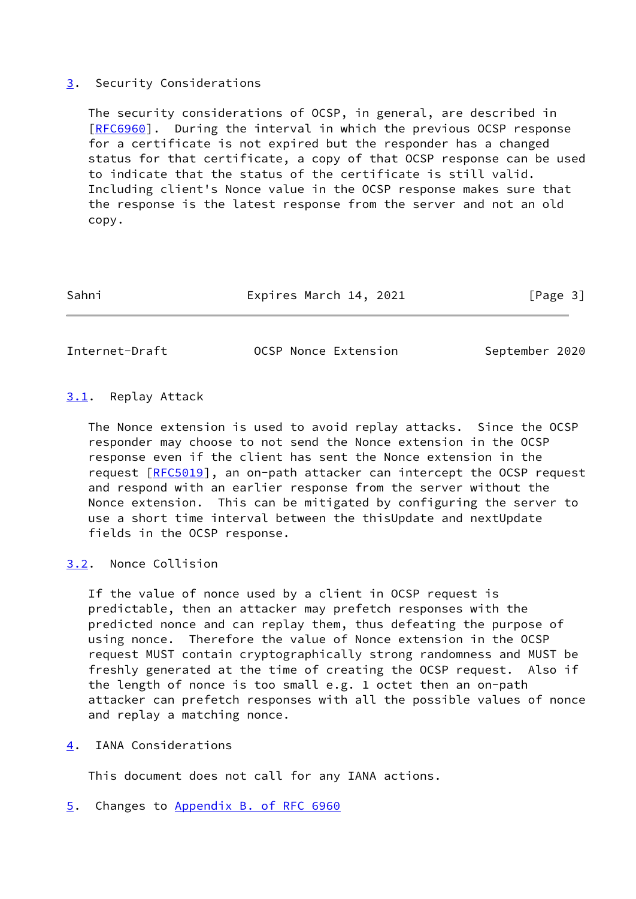## <span id="page-3-1"></span>[3](#page-3-1). Security Considerations

 The security considerations of OCSP, in general, are described in [\[RFC6960](https://datatracker.ietf.org/doc/pdf/rfc6960)]. During the interval in which the previous OCSP response for a certificate is not expired but the responder has a changed status for that certificate, a copy of that OCSP response can be used to indicate that the status of the certificate is still valid. Including client's Nonce value in the OCSP response makes sure that the response is the latest response from the server and not an old copy.

| Sahni | Expires March 14, 2021 | [Page 3] |
|-------|------------------------|----------|
|       |                        |          |

<span id="page-3-3"></span>Internet-Draft OCSP Nonce Extension September 2020

## <span id="page-3-2"></span>[3.1](#page-3-2). Replay Attack

 The Nonce extension is used to avoid replay attacks. Since the OCSP responder may choose to not send the Nonce extension in the OCSP response even if the client has sent the Nonce extension in the request [\[RFC5019](https://datatracker.ietf.org/doc/pdf/rfc5019)], an on-path attacker can intercept the OCSP request and respond with an earlier response from the server without the Nonce extension. This can be mitigated by configuring the server to use a short time interval between the thisUpdate and nextUpdate fields in the OCSP response.

# <span id="page-3-4"></span>[3.2](#page-3-4). Nonce Collision

 If the value of nonce used by a client in OCSP request is predictable, then an attacker may prefetch responses with the predicted nonce and can replay them, thus defeating the purpose of using nonce. Therefore the value of Nonce extension in the OCSP request MUST contain cryptographically strong randomness and MUST be freshly generated at the time of creating the OCSP request. Also if the length of nonce is too small e.g. 1 octet then an on-path attacker can prefetch responses with all the possible values of nonce and replay a matching nonce.

<span id="page-3-0"></span>[4](#page-3-0). IANA Considerations

This document does not call for any IANA actions.

<span id="page-3-5"></span>[5](#page-3-5). Changes to Appendix [B. of RFC 6960](https://datatracker.ietf.org/doc/pdf/rfc6960#appendix-B)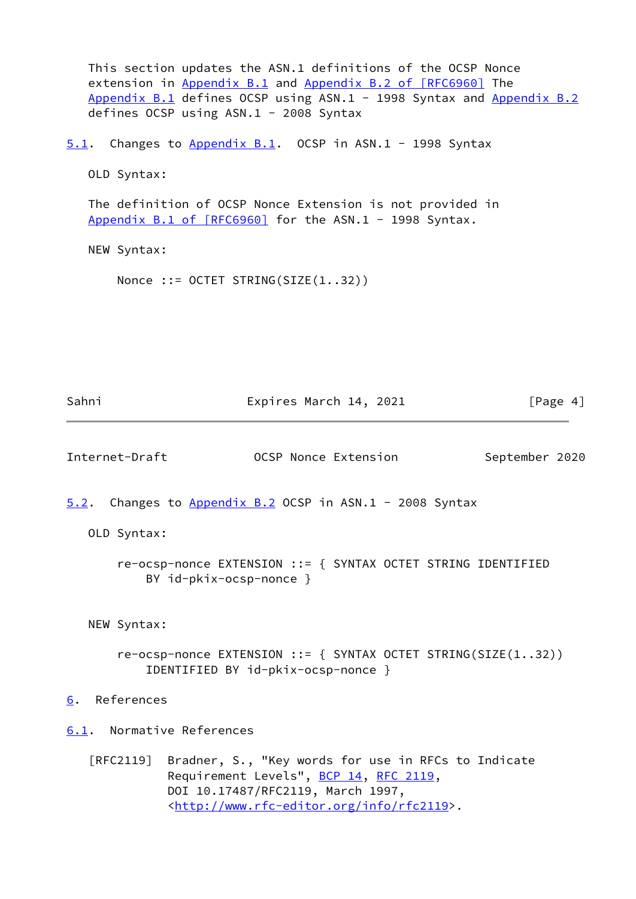<span id="page-4-4"></span><span id="page-4-3"></span><span id="page-4-2"></span><span id="page-4-1"></span><span id="page-4-0"></span> This section updates the ASN.1 definitions of the OCSP Nonce extension in Appendix B.1 and Appendix [B.2 of \[RFC6960\]](https://datatracker.ietf.org/doc/pdf/rfc6960#appendix-B.2) The Appendix B.1 defines OCSP using ASN.1 - 1998 Syntax and Appendix B.2 defines OCSP using ASN.1 - 2008 Syntax [5.1](#page-4-0). Changes to Appendix B.1. OCSP in ASN.1 - 1998 Syntax OLD Syntax: The definition of OCSP Nonce Extension is not provided in Appendix [B.1 of \[RFC6960\]](https://datatracker.ietf.org/doc/pdf/rfc6960#appendix-B.1) for the ASN.1 - 1998 Syntax. NEW Syntax: Nonce ::= OCTET STRING(SIZE(1..32)) Sahni Expires March 14, 2021 [Page 4] Internet-Draft OCSP Nonce Extension September 2020 [5.2](#page-4-1). Changes to Appendix B.2 OCSP in ASN.1 - 2008 Syntax OLD Syntax: re-ocsp-nonce EXTENSION ::= { SYNTAX OCTET STRING IDENTIFIED BY id-pkix-ocsp-nonce } NEW Syntax: re-ocsp-nonce EXTENSION ::= { SYNTAX OCTET STRING(SIZE(1..32)) IDENTIFIED BY id-pkix-ocsp-nonce } [6](#page-4-3). References [6.1](#page-4-4). Normative References [RFC2119] Bradner, S., "Key words for use in RFCs to Indicate Requirement Levels", [BCP 14](https://datatracker.ietf.org/doc/pdf/bcp14), [RFC 2119](https://datatracker.ietf.org/doc/pdf/rfc2119), DOI 10.17487/RFC2119, March 1997, <<http://www.rfc-editor.org/info/rfc2119>>.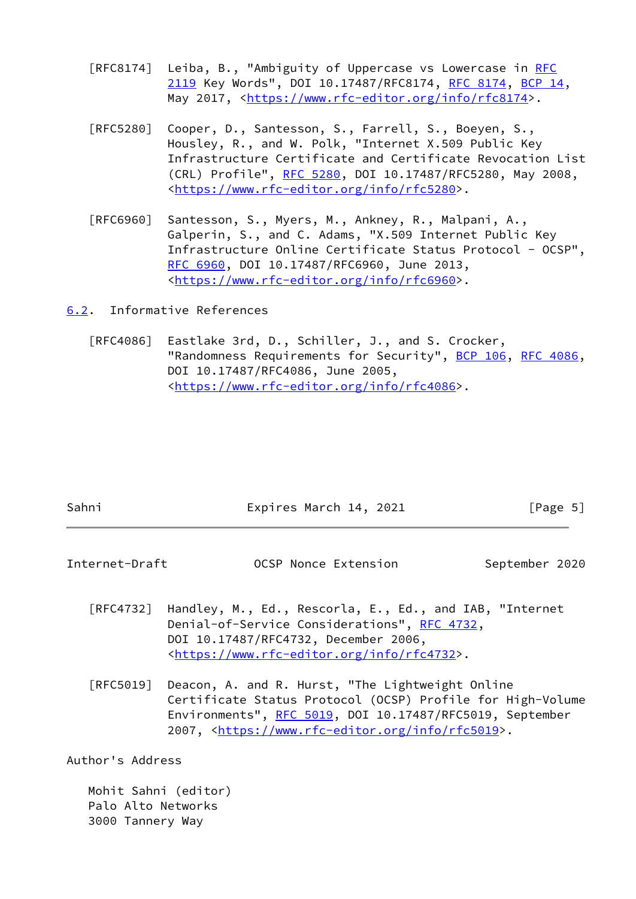- [RFC8174] Leiba, B., "Ambiguity of Uppercase vs Lowercase in [RFC](https://datatracker.ietf.org/doc/pdf/rfc2119) [2119](https://datatracker.ietf.org/doc/pdf/rfc2119) Key Words", DOI 10.17487/RFC8174, [RFC 8174](https://datatracker.ietf.org/doc/pdf/rfc8174), [BCP 14](https://datatracker.ietf.org/doc/pdf/bcp14), May 2017, [<https://www.rfc-editor.org/info/rfc8174](https://www.rfc-editor.org/info/rfc8174)>.
- [RFC5280] Cooper, D., Santesson, S., Farrell, S., Boeyen, S., Housley, R., and W. Polk, "Internet X.509 Public Key Infrastructure Certificate and Certificate Revocation List (CRL) Profile", [RFC 5280,](https://datatracker.ietf.org/doc/pdf/rfc5280) DOI 10.17487/RFC5280, May 2008, <[https://www.rfc-editor.org/info/rfc5280>](https://www.rfc-editor.org/info/rfc5280).
- [RFC6960] Santesson, S., Myers, M., Ankney, R., Malpani, A., Galperin, S., and C. Adams, "X.509 Internet Public Key Infrastructure Online Certificate Status Protocol - OCSP", [RFC 6960,](https://datatracker.ietf.org/doc/pdf/rfc6960) DOI 10.17487/RFC6960, June 2013, <[https://www.rfc-editor.org/info/rfc6960>](https://www.rfc-editor.org/info/rfc6960).

<span id="page-5-0"></span>[6.2](#page-5-0). Informative References

 [RFC4086] Eastlake 3rd, D., Schiller, J., and S. Crocker, "Randomness Requirements for Security", [BCP 106](https://datatracker.ietf.org/doc/pdf/bcp106), [RFC 4086,](https://datatracker.ietf.org/doc/pdf/rfc4086) DOI 10.17487/RFC4086, June 2005, <[https://www.rfc-editor.org/info/rfc4086>](https://www.rfc-editor.org/info/rfc4086).

<span id="page-5-1"></span>

| Sahni                            | Expires March 14, 2021                                                                                                                                                                                                                          | [Page 5]       |
|----------------------------------|-------------------------------------------------------------------------------------------------------------------------------------------------------------------------------------------------------------------------------------------------|----------------|
| Internet-Draft                   | OCSP Nonce Extension                                                                                                                                                                                                                            | September 2020 |
|                                  | [RFC4732] Handley, M., Ed., Rescorla, E., Ed., and IAB, "Internet<br>Denial-of-Service Considerations", RFC 4732,<br>DOI 10.17487/RFC4732, December 2006,<br><https: info="" rfc4732="" www.rfc-editor.org="">.</https:>                        |                |
| $\lceil \mathsf{RFC5019} \rceil$ | Deacon, A. and R. Hurst, "The Lightweight Online<br>Certificate Status Protocol (OCSP) Profile for High-Volume<br>Environments", RFC 5019, DOI 10.17487/RFC5019, September<br>2007, <https: info="" rfc5019="" www.rfc-editor.org="">.</https:> |                |

Author's Address

 Mohit Sahni (editor) Palo Alto Networks 3000 Tannery Way